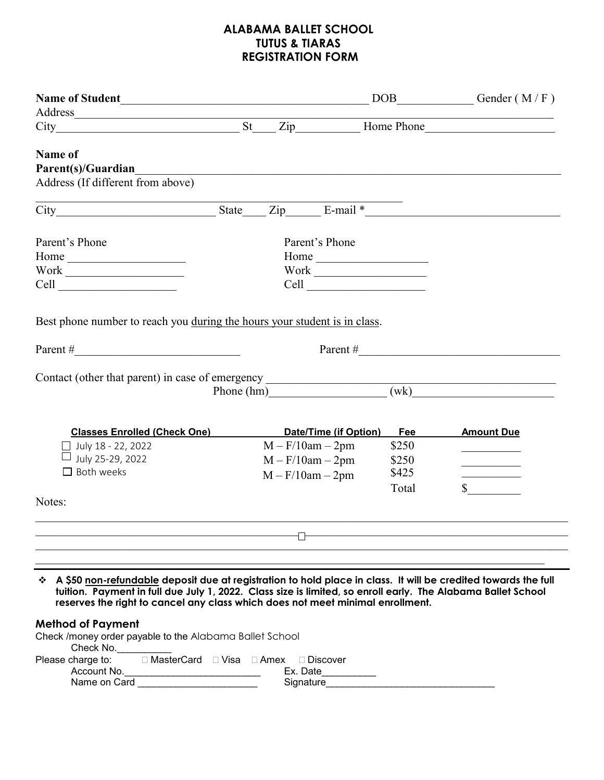## **ALABAMA BALLET SCHOOL TUTUS & TIARAS REGISTRATION FORM**

|                                                                                                                                                                                                |                                                            |       | DOB______________Gender (M/F)                                                                                         |
|------------------------------------------------------------------------------------------------------------------------------------------------------------------------------------------------|------------------------------------------------------------|-------|-----------------------------------------------------------------------------------------------------------------------|
| Address                                                                                                                                                                                        |                                                            |       |                                                                                                                       |
|                                                                                                                                                                                                |                                                            |       |                                                                                                                       |
| Name of                                                                                                                                                                                        |                                                            |       |                                                                                                                       |
| Parent(s)/Guardian                                                                                                                                                                             |                                                            |       |                                                                                                                       |
|                                                                                                                                                                                                |                                                            |       |                                                                                                                       |
| Address (If different from above)                                                                                                                                                              |                                                            |       |                                                                                                                       |
| City State Zip E-mail *                                                                                                                                                                        |                                                            |       |                                                                                                                       |
|                                                                                                                                                                                                |                                                            |       |                                                                                                                       |
| Parent's Phone                                                                                                                                                                                 | Parent's Phone                                             |       |                                                                                                                       |
|                                                                                                                                                                                                |                                                            |       |                                                                                                                       |
|                                                                                                                                                                                                | $\label{thm:work} \text{Work} \xrightarrow{\hspace{15mm}}$ |       |                                                                                                                       |
| $\text{Work} \underline{\hspace{2cm}}$                                                                                                                                                         |                                                            |       |                                                                                                                       |
|                                                                                                                                                                                                |                                                            |       |                                                                                                                       |
|                                                                                                                                                                                                |                                                            |       |                                                                                                                       |
| Best phone number to reach you during the hours your student is in class.                                                                                                                      |                                                            |       |                                                                                                                       |
|                                                                                                                                                                                                |                                                            |       |                                                                                                                       |
| Parent #                                                                                                                                                                                       |                                                            |       | Parent # $\qquad \qquad$ 2008.                                                                                        |
|                                                                                                                                                                                                |                                                            |       |                                                                                                                       |
| <b>Classes Enrolled (Check One)</b>                                                                                                                                                            | Date/Time (if Option)                                      | Fee   | <b>Amount Due</b>                                                                                                     |
| $\Box$ July 18 - 22, 2022                                                                                                                                                                      | $M - F/10am - 2pm$                                         | \$250 |                                                                                                                       |
| July 25-29, 2022                                                                                                                                                                               | $M - F/10am - 2pm$                                         | \$250 | $\mathcal{L}^{\mathcal{L}}(\mathcal{L}^{\mathcal{L}})$ , where $\mathcal{L}^{\mathcal{L}}(\mathcal{L}^{\mathcal{L}})$ |
| $\Box$ Both weeks                                                                                                                                                                              | $M - F/10am - 2pm$                                         | \$425 |                                                                                                                       |
|                                                                                                                                                                                                |                                                            | Total | $\mathbb{S}$                                                                                                          |
| Notes:                                                                                                                                                                                         |                                                            |       |                                                                                                                       |
|                                                                                                                                                                                                |                                                            |       |                                                                                                                       |
|                                                                                                                                                                                                |                                                            |       |                                                                                                                       |
|                                                                                                                                                                                                |                                                            |       |                                                                                                                       |
|                                                                                                                                                                                                |                                                            |       |                                                                                                                       |
| ☆ A \$50 non-refundable deposit due at registration to hold place in class. It will be credited towards the full                                                                               |                                                            |       |                                                                                                                       |
| tuition. Payment in full due July 1, 2022. Class size is limited, so enroll early. The Alabama Ballet School<br>reserves the right to cancel any class which does not meet minimal enrollment. |                                                            |       |                                                                                                                       |
|                                                                                                                                                                                                |                                                            |       |                                                                                                                       |
| <b>Method of Payment</b>                                                                                                                                                                       |                                                            |       |                                                                                                                       |
| Check /money order payable to the Alabama Ballet School<br>Check No.                                                                                                                           |                                                            |       |                                                                                                                       |
| □ MasterCard □ Visa □ Amex □ Discover<br>Please charge to:                                                                                                                                     |                                                            |       |                                                                                                                       |
| Account No.                                                                                                                                                                                    | Ex. Date                                                   |       |                                                                                                                       |
| Name on Card                                                                                                                                                                                   | Signature                                                  |       |                                                                                                                       |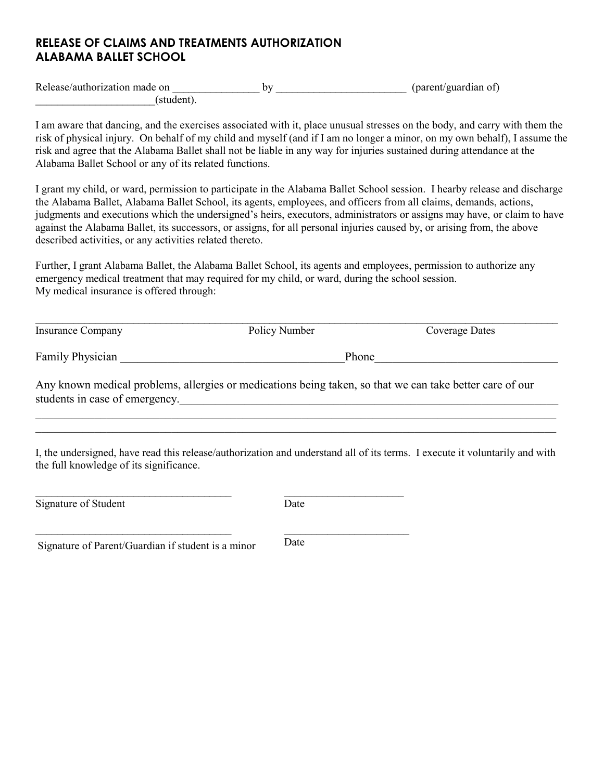## **RELEASE OF CLAIMS AND TREATMENTS AUTHORIZATION ALABAMA BALLET SCHOOL**

Release/authorization made on \_\_\_\_\_\_\_\_\_\_\_\_\_\_\_\_ by \_\_\_\_\_\_\_\_\_\_\_\_\_\_\_\_\_\_\_\_\_\_\_\_ (parent/guardian of)  $(\text{student}).$ 

I am aware that dancing, and the exercises associated with it, place unusual stresses on the body, and carry with them the risk of physical injury. On behalf of my child and myself (and if I am no longer a minor, on my own behalf), I assume the risk and agree that the Alabama Ballet shall not be liable in any way for injuries sustained during attendance at the Alabama Ballet School or any of its related functions.

I grant my child, or ward, permission to participate in the Alabama Ballet School session. I hearby release and discharge the Alabama Ballet, Alabama Ballet School, its agents, employees, and officers from all claims, demands, actions, judgments and executions which the undersigned's heirs, executors, administrators or assigns may have, or claim to have against the Alabama Ballet, its successors, or assigns, for all personal injuries caused by, or arising from, the above described activities, or any activities related thereto.

Further, I grant Alabama Ballet, the Alabama Ballet School, its agents and employees, permission to authorize any emergency medical treatment that may required for my child, or ward, during the school session. My medical insurance is offered through:

| Insurance Company       | Policy Number                                                                                            | Coverage Dates |  |  |
|-------------------------|----------------------------------------------------------------------------------------------------------|----------------|--|--|
| <b>Family Physician</b> |                                                                                                          | Phone          |  |  |
|                         | Any known medical problems, allergies or medications being taken, so that we can take better care of our |                |  |  |

Any known medical problems, allergies or medications being taken, so that we can take better care of our students in case of emergency.

I, the undersigned, have read this release/authorization and understand all of its terms. I execute it voluntarily and with the full knowledge of its significance.

 $\mathcal{L}_\mathcal{L} = \{ \mathcal{L}_\mathcal{L} = \{ \mathcal{L}_\mathcal{L} = \{ \mathcal{L}_\mathcal{L} = \{ \mathcal{L}_\mathcal{L} = \{ \mathcal{L}_\mathcal{L} = \{ \mathcal{L}_\mathcal{L} = \{ \mathcal{L}_\mathcal{L} = \{ \mathcal{L}_\mathcal{L} = \{ \mathcal{L}_\mathcal{L} = \{ \mathcal{L}_\mathcal{L} = \{ \mathcal{L}_\mathcal{L} = \{ \mathcal{L}_\mathcal{L} = \{ \mathcal{L}_\mathcal{L} = \{ \mathcal{L}_\mathcal{$ 

| Signature of Student                               | Date |  |
|----------------------------------------------------|------|--|
| Signature of Parent/Guardian if student is a minor | Date |  |